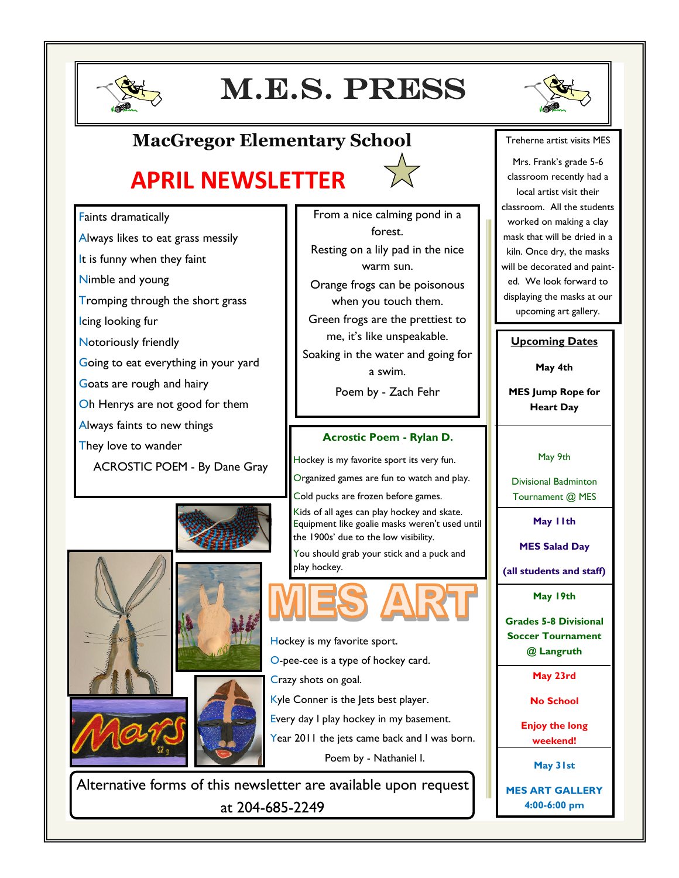

# M.E.S. press



### **MacGregor Elementary School**

## **APRIL NEWSLETTER**



From a nice calming pond in a

Faints dramatically

- Always likes to eat grass messily
- It is funny when they faint
- Nimble and young
- Tromping through the short grass
- Icing looking fur
- Notoriously friendly
- Going to eat everything in your yard
- Goats are rough and hairy
- Oh Henrys are not good for them
- Always faints to new things
- They love to wander
	- ACROSTIC POEM By Dane Gray







forest. Resting on a lily pad in the nice warm sun. Orange frogs can be poisonous when you touch them. Green frogs are the prettiest to me, it's like unspeakable. Soaking in the water and going for a swim. Poem by - Zach Fehr

#### **Acrostic Poem - Rylan D.**

Hockey is my favorite sport its very fun. Organized games are fun to watch and play.

Cold pucks are frozen before games.

Kids of all ages can play hockey and skate. Equipment like goalie masks weren't used until the 1900s' due to the low visibility.

You should grab your stick and a puck and play hockey.



Hockey is my favorite sport.

- O-pee-cee is a type of hockey card.
- Crazy shots on goal.
- Kyle Conner is the Jets best player.
- Every day I play hockey in my basement.
- Year 2011 the jets came back and I was born.
	- Poem by Nathaniel I.

Alternative forms of this newsletter are available upon request at 204-685-2249

#### Treherne artist visits MES

Mrs. Frank's grade 5-6 classroom recently had a local artist visit their classroom. All the students worked on making a clay mask that will be dried in a kiln. Once dry, the masks will be decorated and painted. We look forward to displaying the masks at our upcoming art gallery.

#### **Upcoming Dates**

**May 4th**

**MES Jump Rope for Heart Day**

May 9th

Divisional Badminton Tournament @ MES

**May 11th**

**MES Salad Day** 

**(all students and staff)**

**May 19th** 

**Grades 5-8 Divisional Soccer Tournament @ Langruth**

**May 23rd**

**No School**

**Enjoy the long weekend!**

**May 31st**

**MES ART GALLERY 4:00-6:00 pm**